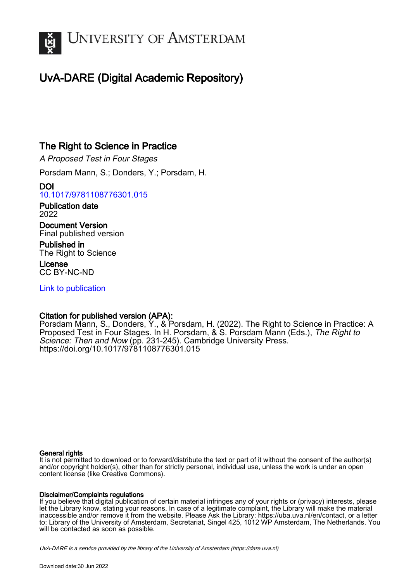

# UvA-DARE (Digital Academic Repository)

## The Right to Science in Practice

A Proposed Test in Four Stages

Porsdam Mann, S.; Donders, Y.; Porsdam, H.

DOI [10.1017/9781108776301.015](https://doi.org/10.1017/9781108776301.015)

Publication date 2022

Document Version Final published version

Published in The Right to Science

License CC BY-NC-ND

[Link to publication](https://dare.uva.nl/personal/pure/en/publications/the-right-to-science-in-practice(18da2924-0e13-440e-a66b-73cc88075acd).html)

## Citation for published version (APA):

Porsdam Mann, S., Donders, Y., & Porsdam, H. (2022). The Right to Science in Practice: A Proposed Test in Four Stages. In H. Porsdam, & S. Porsdam Mann (Eds.), The Right to Science: Then and Now (pp. 231-245). Cambridge University Press. <https://doi.org/10.1017/9781108776301.015>

#### General rights

It is not permitted to download or to forward/distribute the text or part of it without the consent of the author(s) and/or copyright holder(s), other than for strictly personal, individual use, unless the work is under an open content license (like Creative Commons).

#### Disclaimer/Complaints regulations

If you believe that digital publication of certain material infringes any of your rights or (privacy) interests, please let the Library know, stating your reasons. In case of a legitimate complaint, the Library will make the material inaccessible and/or remove it from the website. Please Ask the Library: https://uba.uva.nl/en/contact, or a letter to: Library of the University of Amsterdam, Secretariat, Singel 425, 1012 WP Amsterdam, The Netherlands. You will be contacted as soon as possible.

UvA-DARE is a service provided by the library of the University of Amsterdam (http*s*://dare.uva.nl)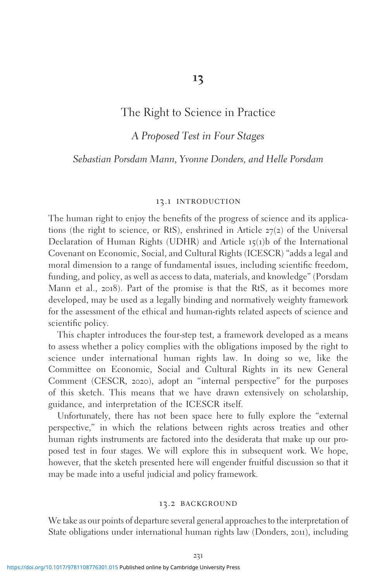## 13

## The Right to Science in Practice

## A Proposed Test in Four Stages

#### Sebastian Porsdam Mann, Yvonne Donders, and Helle Porsdam

#### 13.1 introduction

The human right to enjoy the benefits of the progress of science and its applications (the right to science, or RtS), enshrined in Article  $27(2)$  of the Universal Declaration of Human Rights (UDHR) and Article  $15(1)$ b of the International Covenant on Economic, Social, and Cultural Rights (ICESCR) "adds a legal and moral dimension to a range of fundamental issues, including scientific freedom, funding, and policy, as well as access to data, materials, and knowledge" (Porsdam Mann et al., 2018). Part of the promise is that the RtS, as it becomes more developed, may be used as a legally binding and normatively weighty framework for the assessment of the ethical and human-rights related aspects of science and scientific policy.

This chapter introduces the four-step test, a framework developed as a means to assess whether a policy complies with the obligations imposed by the right to science under international human rights law. In doing so we, like the Committee on Economic, Social and Cultural Rights in its new General Comment (CESCR, 2020), adopt an "internal perspective" for the purposes of this sketch. This means that we have drawn extensively on scholarship, guidance, and interpretation of the ICESCR itself.

Unfortunately, there has not been space here to fully explore the "external perspective," in which the relations between rights across treaties and other human rights instruments are factored into the desiderata that make up our proposed test in four stages. We will explore this in subsequent work. We hope, however, that the sketch presented here will engender fruitful discussion so that it may be made into a useful judicial and policy framework.

#### 13.2 background

We take as our points of departure several general approaches to the interpretation of State obligations under international human rights law (Donders, 2011), including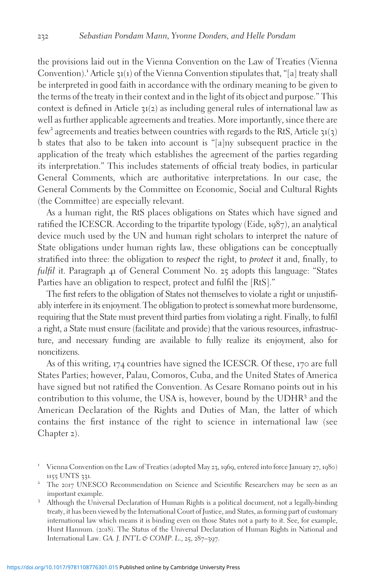the provisions laid out in the Vienna Convention on the Law of Treaties (Vienna Convention).<sup>1</sup> Article 31(1) of the Vienna Convention stipulates that, "[a] treaty shall be interpreted in good faith in accordance with the ordinary meaning to be given to the terms of the treaty in their context and in the light of its object and purpose." This context is defined in Article 31(2) as including general rules of international law as well as further applicable agreements and treaties. More importantly, since there are few<sup>2</sup> agreements and treaties between countries with regards to the RtS, Article  $31(3)$ b states that also to be taken into account is "[a]ny subsequent practice in the application of the treaty which establishes the agreement of the parties regarding its interpretation." This includes statements of official treaty bodies, in particular General Comments, which are authoritative interpretations. In our case, the General Comments by the Committee on Economic, Social and Cultural Rights (the Committee) are especially relevant.

As a human right, the RtS places obligations on States which have signed and ratified the ICESCR. According to the tripartite typology (Eide, 1987), an analytical device much used by the UN and human right scholars to interpret the nature of State obligations under human rights law, these obligations can be conceptually stratified into three: the obligation to respect the right, to protect it and, finally, to fulfil it. Paragraph 41 of General Comment No. 25 adopts this language: "States Parties have an obligation to respect, protect and fulfil the [RtS]."

The first refers to the obligation of States not themselves to violate a right or unjustifiably interfere in its enjoyment. The obligation to protect is somewhat more burdensome, requiring that the State must prevent third parties from violating a right. Finally, to fulfil a right, a State must ensure (facilitate and provide) that the various resources, infrastructure, and necessary funding are available to fully realize its enjoyment, also for noncitizens.

As of this writing, 174 countries have signed the ICESCR. Of these, 170 are full States Parties; however, Palau, Comoros, Cuba, and the United States of America have signed but not ratified the Convention. As Cesare Romano points out in his contribution to this volume, the USA is, however, bound by the UDHR<sup>3</sup> and the American Declaration of the Rights and Duties of Man, the latter of which contains the first instance of the right to science in international law (see Chapter 2).

<sup>1</sup> Vienna Convention on the Law of Treaties (adopted May <sup>23</sup>, <sup>1969</sup>, entered into force January <sup>27</sup>, <sup>1980</sup>)

<sup>1155</sup> UNTS <sup>331</sup>. <sup>2</sup> The <sup>2017</sup> UNESCO Recommendation on Science and Scientific Researchers may be seen as an important example. <sup>3</sup> Although the Universal Declaration of Human Rights is a political document, not a legally-binding

treaty, it has been viewed by the International Court of Justice, and States, as forming part of customary international law which means it is binding even on those States not a party to it. See, for example, Hurst Hannum. (2018). The Status of the Universal Declaration of Human Rights in National and International Law. GA. J. INT'L & COMP. L., 25, 287–397.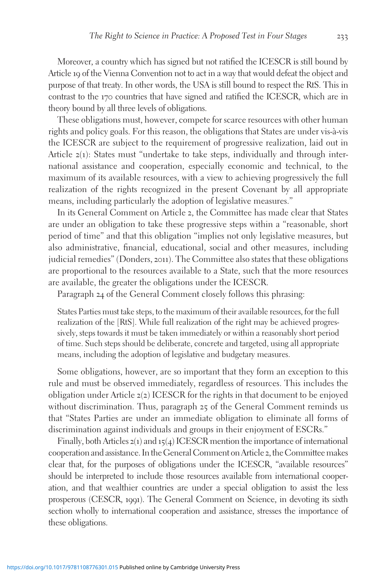Moreover, a country which has signed but not ratified the ICESCR is still bound by Article 19 of the Vienna Convention not to act in a way that would defeat the object and purpose of that treaty. In other words, the USA is still bound to respect the RtS. This in contrast to the 170 countries that have signed and ratified the ICESCR, which are in theory bound by all three levels of obligations.

These obligations must, however, compete for scarce resources with other human rights and policy goals. For this reason, the obligations that States are under vis-à-vis the ICESCR are subject to the requirement of progressive realization, laid out in Article 2(1): States must "undertake to take steps, individually and through international assistance and cooperation, especially economic and technical, to the maximum of its available resources, with a view to achieving progressively the full realization of the rights recognized in the present Covenant by all appropriate means, including particularly the adoption of legislative measures."

In its General Comment on Article 2, the Committee has made clear that States are under an obligation to take these progressive steps within a "reasonable, short period of time" and that this obligation "implies not only legislative measures, but also administrative, financial, educational, social and other measures, including judicial remedies" (Donders, 2011). The Committee also states that these obligations are proportional to the resources available to a State, such that the more resources are available, the greater the obligations under the ICESCR.

Paragraph 24 of the General Comment closely follows this phrasing:

States Parties must take steps, to the maximum of their available resources, for the full realization of the [RtS]. While full realization of the right may be achieved progressively, steps towards it must be taken immediately or within a reasonably short period of time. Such steps should be deliberate, concrete and targeted, using all appropriate means, including the adoption of legislative and budgetary measures.

Some obligations, however, are so important that they form an exception to this rule and must be observed immediately, regardless of resources. This includes the obligation under Article  $z(z)$  ICESCR for the rights in that document to be enjoyed without discrimination. Thus, paragraph 25 of the General Comment reminds us that "States Parties are under an immediate obligation to eliminate all forms of discrimination against individuals and groups in their enjoyment of ESCRs."

Finally, both Articles  $z(1)$  and  $15(4)$  ICESCR mention the importance of international cooperation and assistance. In the General Comment on Article 2, the Committee makes clear that, for the purposes of obligations under the ICESCR, "available resources" should be interpreted to include those resources available from international cooperation, and that wealthier countries are under a special obligation to assist the less prosperous (CESCR, 1991). The General Comment on Science, in devoting its sixth section wholly to international cooperation and assistance, stresses the importance of these obligations.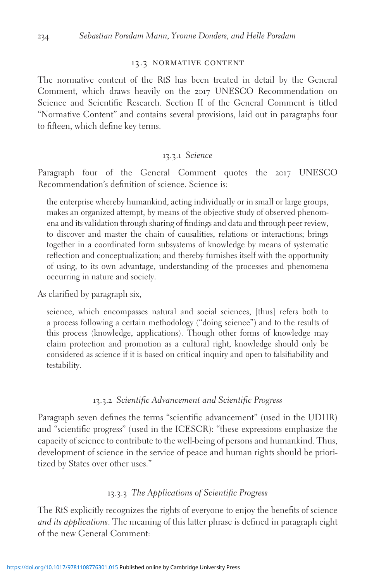#### 13.3 normative content

The normative content of the RtS has been treated in detail by the General Comment, which draws heavily on the 2017 UNESCO Recommendation on Science and Scientific Research. Section II of the General Comment is titled "Normative Content" and contains several provisions, laid out in paragraphs four to fifteen, which define key terms.

#### 13.3.1 Science

Paragraph four of the General Comment quotes the 2017 UNESCO Recommendation's definition of science. Science is:

the enterprise whereby humankind, acting individually or in small or large groups, makes an organized attempt, by means of the objective study of observed phenomena and its validation through sharing of findings and data and through peer review, to discover and master the chain of causalities, relations or interactions; brings together in a coordinated form subsystems of knowledge by means of systematic reflection and conceptualization; and thereby furnishes itself with the opportunity of using, to its own advantage, understanding of the processes and phenomena occurring in nature and society.

As clarified by paragraph six,

science, which encompasses natural and social sciences, [thus] refers both to a process following a certain methodology ("doing science") and to the results of this process (knowledge, applications). Though other forms of knowledge may claim protection and promotion as a cultural right, knowledge should only be considered as science if it is based on critical inquiry and open to falsifiability and testability.

#### 13.3.2 Scientific Advancement and Scientific Progress

Paragraph seven defines the terms "scientific advancement" (used in the UDHR) and "scientific progress" (used in the ICESCR): "these expressions emphasize the capacity of science to contribute to the well-being of persons and humankind. Thus, development of science in the service of peace and human rights should be prioritized by States over other uses."

#### 13.3.3 The Applications of Scientific Progress

The RtS explicitly recognizes the rights of everyone to enjoy the benefits of science and its applications. The meaning of this latter phrase is defined in paragraph eight of the new General Comment: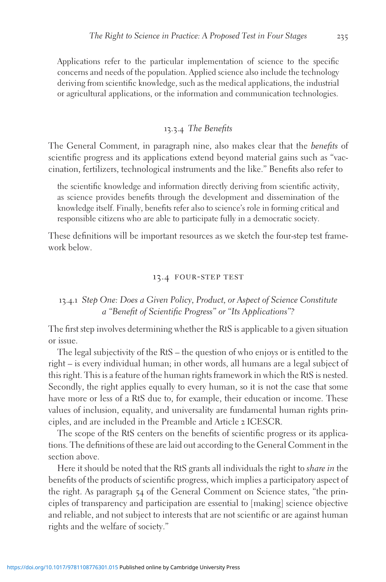Applications refer to the particular implementation of science to the specific concerns and needs of the population. Applied science also include the technology deriving from scientific knowledge, such as the medical applications, the industrial or agricultural applications, or the information and communication technologies.

### 13.3.4 The Benefits

The General Comment, in paragraph nine, also makes clear that the benefits of scientific progress and its applications extend beyond material gains such as "vaccination, fertilizers, technological instruments and the like." Benefits also refer to

the scientific knowledge and information directly deriving from scientific activity, as science provides benefits through the development and dissemination of the knowledge itself. Finally, benefits refer also to science's role in forming critical and responsible citizens who are able to participate fully in a democratic society.

These definitions will be important resources as we sketch the four-step test framework below.

#### 13.4 four-step test

#### 13.4.1 Step One: Does a Given Policy, Product, or Aspect of Science Constitute a "Benefit of Scientific Progress" or "Its Applications"?

The first step involves determining whether the RtS is applicable to a given situation or issue.

The legal subjectivity of the RtS – the question of who enjoys or is entitled to the right – is every individual human; in other words, all humans are a legal subject of this right. This is a feature of the human rights framework in which the RtS is nested. Secondly, the right applies equally to every human, so it is not the case that some have more or less of a RtS due to, for example, their education or income. These values of inclusion, equality, and universality are fundamental human rights principles, and are included in the Preamble and Article 2 ICESCR.

The scope of the RtS centers on the benefits of scientific progress or its applications. The definitions of these are laid out according to the General Comment in the section above.

Here it should be noted that the RtS grants all individuals the right to share in the benefits of the products of scientific progress, which implies a participatory aspect of the right. As paragraph 54 of the General Comment on Science states, "the principles of transparency and participation are essential to [making] science objective and reliable, and not subject to interests that are not scientific or are against human rights and the welfare of society."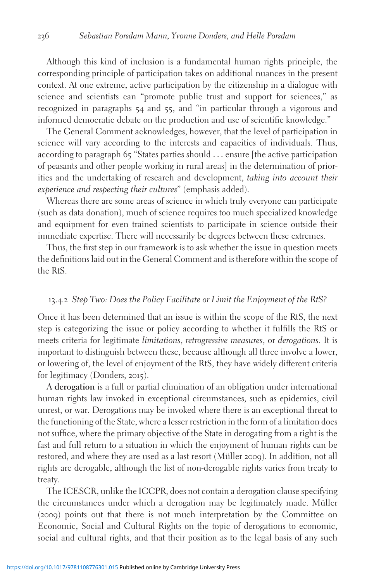Although this kind of inclusion is a fundamental human rights principle, the corresponding principle of participation takes on additional nuances in the present context. At one extreme, active participation by the citizenship in a dialogue with science and scientists can "promote public trust and support for sciences," as recognized in paragraphs 54 and 55, and "in particular through a vigorous and informed democratic debate on the production and use of scientific knowledge."

The General Comment acknowledges, however, that the level of participation in science will vary according to the interests and capacities of individuals. Thus, according to paragraph 65 "States parties should ... ensure [the active participation of peasants and other people working in rural areas] in the determination of priorities and the undertaking of research and development, taking into account their experience and respecting their cultures" (emphasis added).

Whereas there are some areas of science in which truly everyone can participate (such as data donation), much of science requires too much specialized knowledge and equipment for even trained scientists to participate in science outside their immediate expertise. There will necessarily be degrees between these extremes.

Thus, the first step in our framework is to ask whether the issue in question meets the definitions laid out in the General Comment and is therefore within the scope of the RtS.

#### 13.4.2 Step Two: Does the Policy Facilitate or Limit the Enjoyment of the RtS?

Once it has been determined that an issue is within the scope of the RtS, the next step is categorizing the issue or policy according to whether it fulfills the RtS or meets criteria for legitimate limitations, retrogressive measures, or derogations. It is important to distinguish between these, because although all three involve a lower, or lowering of, the level of enjoyment of the RtS, they have widely different criteria for legitimacy (Donders, 2015).

A derogation is a full or partial elimination of an obligation under international human rights law invoked in exceptional circumstances, such as epidemics, civil unrest, or war. Derogations may be invoked where there is an exceptional threat to the functioning of the State, where a lesser restriction in the form of a limitation does not suffice, where the primary objective of the State in derogating from a right is the fast and full return to a situation in which the enjoyment of human rights can be restored, and where they are used as a last resort (Müller 2009). In addition, not all rights are derogable, although the list of non-derogable rights varies from treaty to treaty.

The ICESCR, unlike the ICCPR, does not contain a derogation clause specifying the circumstances under which a derogation may be legitimately made. Müller (2009) points out that there is not much interpretation by the Committee on Economic, Social and Cultural Rights on the topic of derogations to economic, social and cultural rights, and that their position as to the legal basis of any such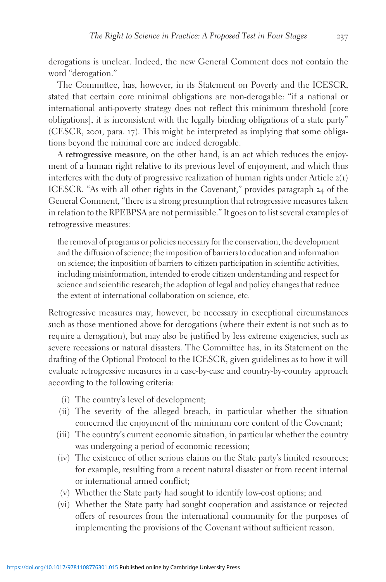derogations is unclear. Indeed, the new General Comment does not contain the word "derogation."

The Committee, has, however, in its Statement on Poverty and the ICESCR, stated that certain core minimal obligations are non-derogable: "if a national or international anti-poverty strategy does not reflect this minimum threshold [core obligations], it is inconsistent with the legally binding obligations of a state party" (CESCR, 2001, para. 17). This might be interpreted as implying that some obligations beyond the minimal core are indeed derogable.

A retrogressive measure, on the other hand, is an act which reduces the enjoyment of a human right relative to its previous level of enjoyment, and which thus interferes with the duty of progressive realization of human rights under Article  $z(1)$ ICESCR. "As with all other rights in the Covenant," provides paragraph 24 of the General Comment, "there is a strong presumption that retrogressive measures taken in relation to the RPEBPSA are not permissible." It goes on to list several examples of retrogressive measures:

the removal of programs or policies necessary for the conservation, the development and the diffusion of science; the imposition of barriers to education and information on science; the imposition of barriers to citizen participation in scientific activities, including misinformation, intended to erode citizen understanding and respect for science and scientific research; the adoption of legal and policy changes that reduce the extent of international collaboration on science, etc.

Retrogressive measures may, however, be necessary in exceptional circumstances such as those mentioned above for derogations (where their extent is not such as to require a derogation), but may also be justified by less extreme exigencies, such as severe recessions or natural disasters. The Committee has, in its Statement on the drafting of the Optional Protocol to the ICESCR, given guidelines as to how it will evaluate retrogressive measures in a case-by-case and country-by-country approach according to the following criteria:

- (i) The country's level of development;
- (ii) The severity of the alleged breach, in particular whether the situation concerned the enjoyment of the minimum core content of the Covenant;
- (iii) The country's current economic situation, in particular whether the country was undergoing a period of economic recession;
- (iv) The existence of other serious claims on the State party's limited resources; for example, resulting from a recent natural disaster or from recent internal or international armed conflict;
- (v) Whether the State party had sought to identify low-cost options; and
- (vi) Whether the State party had sought cooperation and assistance or rejected offers of resources from the international community for the purposes of implementing the provisions of the Covenant without sufficient reason.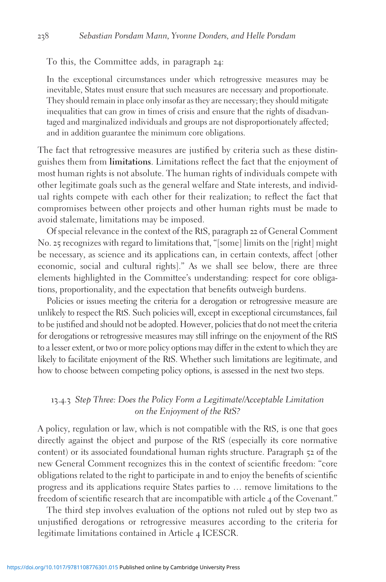To this, the Committee adds, in paragraph 24:

In the exceptional circumstances under which retrogressive measures may be inevitable, States must ensure that such measures are necessary and proportionate. They should remain in place only insofar as they are necessary; they should mitigate inequalities that can grow in times of crisis and ensure that the rights of disadvantaged and marginalized individuals and groups are not disproportionately affected; and in addition guarantee the minimum core obligations.

The fact that retrogressive measures are justified by criteria such as these distinguishes them from limitations. Limitations reflect the fact that the enjoyment of most human rights is not absolute. The human rights of individuals compete with other legitimate goals such as the general welfare and State interests, and individual rights compete with each other for their realization; to reflect the fact that compromises between other projects and other human rights must be made to avoid stalemate, limitations may be imposed.

Of special relevance in the context of the RtS, paragraph 22 of General Comment No. 25 recognizes with regard to limitations that, "[some] limits on the [right] might be necessary, as science and its applications can, in certain contexts, affect [other economic, social and cultural rights]." As we shall see below, there are three elements highlighted in the Committee's understanding: respect for core obligations, proportionality, and the expectation that benefits outweigh burdens.

Policies or issues meeting the criteria for a derogation or retrogressive measure are unlikely to respect the RtS. Such policies will, except in exceptional circumstances, fail to be justified and should not be adopted. However, policies that do not meet the criteria for derogations or retrogressive measures may still infringe on the enjoyment of the RtS to a lesser extent, or two or more policy options may differ in the extent to which they are likely to facilitate enjoyment of the RtS. Whether such limitations are legitimate, and how to choose between competing policy options, is assessed in the next two steps.

#### 13.4.3 Step Three: Does the Policy Form a Legitimate/Acceptable Limitation on the Enjoyment of the RtS?

A policy, regulation or law, which is not compatible with the RtS, is one that goes directly against the object and purpose of the RtS (especially its core normative content) or its associated foundational human rights structure. Paragraph 52 of the new General Comment recognizes this in the context of scientific freedom: "core obligations related to the right to participate in and to enjoy the benefits of scientific progress and its applications require States parties to … remove limitations to the freedom of scientific research that are incompatible with article 4 of the Covenant."

The third step involves evaluation of the options not ruled out by step two as unjustified derogations or retrogressive measures according to the criteria for legitimate limitations contained in Article 4 ICESCR.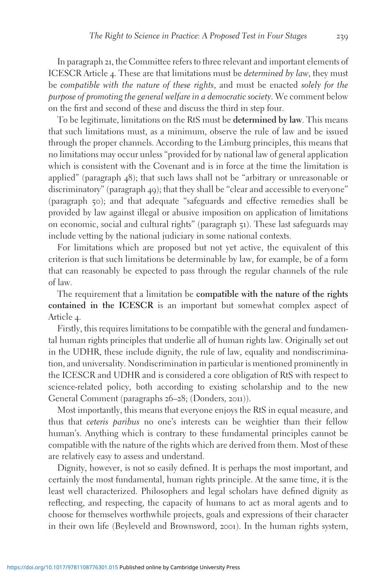In paragraph 21, the Committee refers to three relevant and important elements of ICESCR Article 4. These are that limitations must be determined by law, they must be compatible with the nature of these rights, and must be enacted solely for the purpose of promoting the general welfare in a democratic society. We comment below on the first and second of these and discuss the third in step four.

To be legitimate, limitations on the RtS must be determined by law. This means that such limitations must, as a minimum, observe the rule of law and be issued through the proper channels. According to the Limburg principles, this means that no limitations may occur unless "provided for by national law of general application which is consistent with the Covenant and is in force at the time the limitation is applied" (paragraph 48); that such laws shall not be "arbitrary or unreasonable or discriminatory" (paragraph 49); that they shall be "clear and accessible to everyone" (paragraph 50); and that adequate "safeguards and effective remedies shall be provided by law against illegal or abusive imposition on application of limitations on economic, social and cultural rights" (paragraph 51). These last safeguards may include vetting by the national judiciary in some national contexts.

For limitations which are proposed but not yet active, the equivalent of this criterion is that such limitations be determinable by law, for example, be of a form that can reasonably be expected to pass through the regular channels of the rule of law.

The requirement that a limitation be compatible with the nature of the rights contained in the ICESCR is an important but somewhat complex aspect of Article 4.

Firstly, this requires limitations to be compatible with the general and fundamental human rights principles that underlie all of human rights law. Originally set out in the UDHR, these include dignity, the rule of law, equality and nondiscrimination, and universality. Nondiscrimination in particular is mentioned prominently in the ICESCR and UDHR and is considered a core obligation of RtS with respect to science-related policy, both according to existing scholarship and to the new General Comment (paragraphs 26–28; (Donders, 2011)).

Most importantly, this means that everyone enjoys the RtS in equal measure, and thus that ceteris paribus no one's interests can be weightier than their fellow human's. Anything which is contrary to these fundamental principles cannot be compatible with the nature of the rights which are derived from them. Most of these are relatively easy to assess and understand.

Dignity, however, is not so easily defined. It is perhaps the most important, and certainly the most fundamental, human rights principle. At the same time, it is the least well characterized. Philosophers and legal scholars have defined dignity as reflecting, and respecting, the capacity of humans to act as moral agents and to choose for themselves worthwhile projects, goals and expressions of their character in their own life (Beyleveld and Brownsword, 2001). In the human rights system,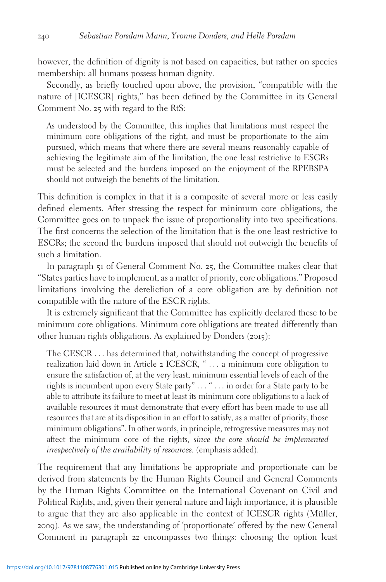however, the definition of dignity is not based on capacities, but rather on species membership: all humans possess human dignity.

Secondly, as briefly touched upon above, the provision, "compatible with the nature of [ICESCR] rights," has been defined by the Committee in its General Comment No. 25 with regard to the RtS:

As understood by the Committee, this implies that limitations must respect the minimum core obligations of the right, and must be proportionate to the aim pursued, which means that where there are several means reasonably capable of achieving the legitimate aim of the limitation, the one least restrictive to ESCRs must be selected and the burdens imposed on the enjoyment of the RPEBSPA should not outweigh the benefits of the limitation.

This definition is complex in that it is a composite of several more or less easily defined elements. After stressing the respect for minimum core obligations, the Committee goes on to unpack the issue of proportionality into two specifications. The first concerns the selection of the limitation that is the one least restrictive to ESCRs; the second the burdens imposed that should not outweigh the benefits of such a limitation.

In paragraph 51 of General Comment No. 25, the Committee makes clear that "States parties have to implement, as a matter of priority, core obligations." Proposed limitations involving the dereliction of a core obligation are by definition not compatible with the nature of the ESCR rights.

It is extremely significant that the Committee has explicitly declared these to be minimum core obligations. Minimum core obligations are treated differently than other human rights obligations. As explained by Donders (2015):

The CESCR ... has determined that, notwithstanding the concept of progressive realization laid down in Article 2 ICESCR, " ... a minimum core obligation to ensure the satisfaction of, at the very least, minimum essential levels of each of the rights is incumbent upon every State party" ... " ... in order for a State party to be able to attribute its failure to meet at least its minimum core obligations to a lack of available resources it must demonstrate that every effort has been made to use all resources that are at its disposition in an effort to satisfy, as a matter of priority, those minimum obligations". In other words, in principle, retrogressive measures may not affect the minimum core of the rights, since the core should be implemented irrespectively of the availability of resources. (emphasis added).

The requirement that any limitations be appropriate and proportionate can be derived from statements by the Human Rights Council and General Comments by the Human Rights Committee on the International Covenant on Civil and Political Rights, and, given their general nature and high importance, it is plausible to argue that they are also applicable in the context of ICESCR rights (Müller, 2009). As we saw, the understanding of 'proportionate' offered by the new General Comment in paragraph 22 encompasses two things: choosing the option least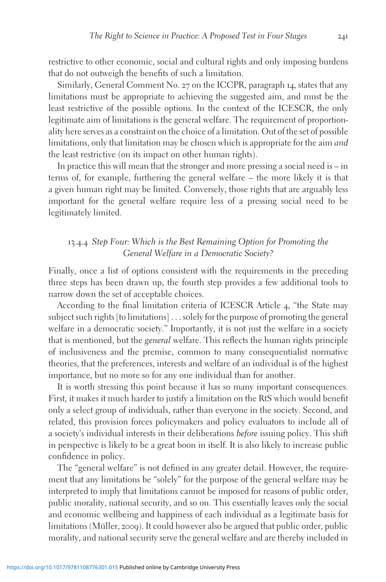restrictive to other economic, social and cultural rights and only imposing burdens that do not outweigh the benefits of such a limitation.

Similarly, General Comment No. 27 on the ICCPR, paragraph 14, states that any limitations must be appropriate to achieving the suggested aim, and must be the least restrictive of the possible options. In the context of the ICESCR, the only legitimate aim of limitations is the general welfare. The requirement of proportionality here serves as a constraint on the choice of a limitation. Out of the set of possible limitations, only that limitation may be chosen which is appropriate for the aim and the least restrictive (on its impact on other human rights).

In practice this will mean that the stronger and more pressing a social need is – in terms of, for example, furthering the general welfare – the more likely it is that a given human right may be limited. Conversely, those rights that are arguably less important for the general welfare require less of a pressing social need to be legitimately limited.

#### 13.4.4 Step Four: Which is the Best Remaining Option for Promoting the General Welfare in a Democratic Society?

Finally, once a list of options consistent with the requirements in the preceding three steps has been drawn up, the fourth step provides a few additional tools to narrow down the set of acceptable choices.

According to the final limitation criteria of ICESCR Article 4, "the State may subject such rights [to limitations] ... solely for the purpose of promoting the general welfare in a democratic society." Importantly, it is not just the welfare in a society that is mentioned, but the general welfare. This reflects the human rights principle of inclusiveness and the premise, common to many consequentialist normative theories, that the preferences, interests and welfare of an individual is of the highest importance, but no more so for any one individual than for another.

It is worth stressing this point because it has so many important consequences. First, it makes it much harder to justify a limitation on the RtS which would benefit only a select group of individuals, rather than everyone in the society. Second, and related, this provision forces policymakers and policy evaluators to include all of a society's individual interests in their deliberations before issuing policy. This shift in perspective is likely to be a great boon in itself. It is also likely to increase public confidence in policy.

The "general welfare" is not defined in any greater detail. However, the requirement that any limitations be "solely" for the purpose of the general welfare may be interpreted to imply that limitations cannot be imposed for reasons of public order, public morality, national security, and so on. This essentially leaves only the social and economic wellbeing and happiness of each individual as a legitimate basis for limitations (Müller, 2009). It could however also be argued that public order, public morality, and national security serve the general welfare and are thereby included in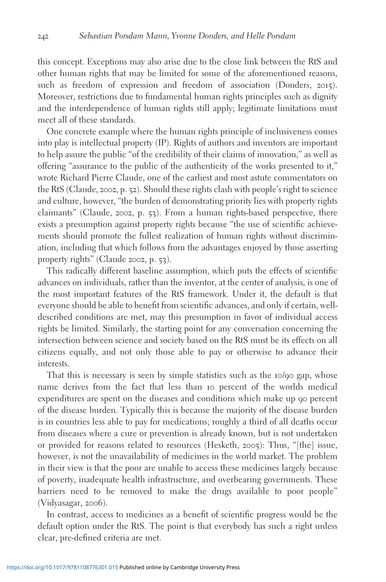this concept. Exceptions may also arise due to the close link between the RtS and other human rights that may be limited for some of the aforementioned reasons, such as freedom of expression and freedom of association (Donders, 2015). Moreover, restrictions due to fundamental human rights principles such as dignity and the interdependence of human rights still apply; legitimate limitations must meet all of these standards.

One concrete example where the human rights principle of inclusiveness comes into play is intellectual property (IP). Rights of authors and inventors are important to help assure the public "of the credibility of their claims of innovation," as well as offering "assurance to the public of the authenticity of the works presented to it," wrote Richard Pierre Claude, one of the earliest and most astute commentators on the RtS (Claude, 2002, p. 52). Should these rights clash with people's right to science and culture, however, "the burden of demonstrating priority lies with property rights claimants" (Claude, 2002, p. 53). From a human rights-based perspective, there exists a presumption against property rights because "the use of scientific achievements should promote the fullest realization of human rights without discrimination, including that which follows from the advantages enjoyed by those asserting property rights" (Claude 2002, p. 53).

This radically different baseline assumption, which puts the effects of scientific advances on individuals, rather than the inventor, at the center of analysis, is one of the most important features of the RtS framework. Under it, the default is that everyone should be able to benefit from scientific advances, and only if certain, welldescribed conditions are met, may this presumption in favor of individual access rights be limited. Similarly, the starting point for any conversation concerning the intersection between science and society based on the RtS must be its effects on all citizens equally, and not only those able to pay or otherwise to advance their interests.

That this is necessary is seen by simple statistics such as the 10/90 gap, whose name derives from the fact that less than 10 percent of the worlds medical expenditures are spent on the diseases and conditions which make up 90 percent of the disease burden. Typically this is because the majority of the disease burden is in countries less able to pay for medications; roughly a third of all deaths occur from diseases where a cure or prevention is already known, but is not undertaken or provided for reasons related to resources (Hesketh, 2005): Thus, "[the] issue, however, is not the unavailability of medicines in the world market. The problem in their view is that the poor are unable to access these medicines largely because of poverty, inadequate health infrastructure, and overbearing governments. These barriers need to be removed to make the drugs available to poor people" (Vidyasagar, 2006).

In contrast, access to medicines as a benefit of scientific progress would be the default option under the RtS. The point is that everybody has such a right unless clear, pre-defined criteria are met.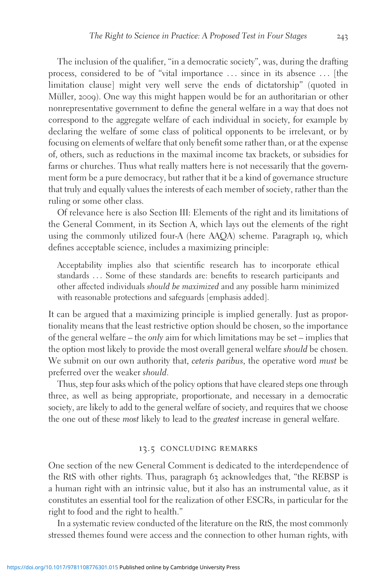The inclusion of the qualifier, "in a democratic society", was, during the drafting process, considered to be of "vital importance ... since in its absence ... [the limitation clause] might very well serve the ends of dictatorship" (quoted in Müller, 2009). One way this might happen would be for an authoritarian or other nonrepresentative government to define the general welfare in a way that does not correspond to the aggregate welfare of each individual in society, for example by declaring the welfare of some class of political opponents to be irrelevant, or by focusing on elements of welfare that only benefit some rather than, or at the expense of, others, such as reductions in the maximal income tax brackets, or subsidies for farms or churches. Thus what really matters here is not necessarily that the government form be a pure democracy, but rather that it be a kind of governance structure that truly and equally values the interests of each member of society, rather than the ruling or some other class.

Of relevance here is also Section III: Elements of the right and its limitations of the General Comment, in its Section A, which lays out the elements of the right using the commonly utilized four-A (here AAQA) scheme. Paragraph 19, which defines acceptable science, includes a maximizing principle:

Acceptability implies also that scientific research has to incorporate ethical standards ... Some of these standards are: benefits to research participants and other affected individuals should be maximized and any possible harm minimized with reasonable protections and safeguards [emphasis added].

It can be argued that a maximizing principle is implied generally. Just as proportionality means that the least restrictive option should be chosen, so the importance of the general welfare – the *only* aim for which limitations may be set – implies that the option most likely to provide the most overall general welfare should be chosen. We submit on our own authority that, *ceteris paribus*, the operative word *must* be preferred over the weaker should.

Thus, step four asks which of the policy options that have cleared steps one through three, as well as being appropriate, proportionate, and necessary in a democratic society, are likely to add to the general welfare of society, and requires that we choose the one out of these most likely to lead to the greatest increase in general welfare.

#### 13.5 concluding remarks

One section of the new General Comment is dedicated to the interdependence of the RtS with other rights. Thus, paragraph 63 acknowledges that, "the REBSP is a human right with an intrinsic value, but it also has an instrumental value, as it constitutes an essential tool for the realization of other ESCRs, in particular for the right to food and the right to health."

In a systematic review conducted of the literature on the RtS, the most commonly stressed themes found were access and the connection to other human rights, with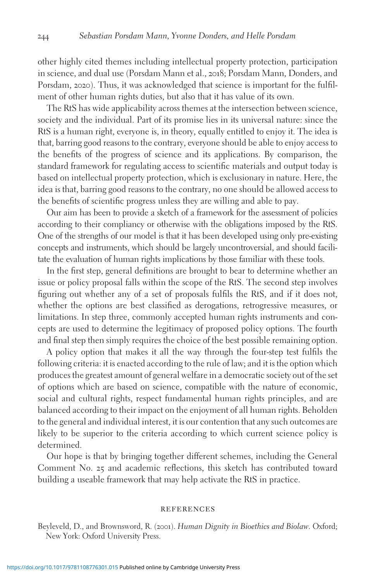other highly cited themes including intellectual property protection, participation in science, and dual use (Porsdam Mann et al., 2018; Porsdam Mann, Donders, and Porsdam, 2020). Thus, it was acknowledged that science is important for the fulfilment of other human rights duties, but also that it has value of its own.

The RtS has wide applicability across themes at the intersection between science, society and the individual. Part of its promise lies in its universal nature: since the RtS is a human right, everyone is, in theory, equally entitled to enjoy it. The idea is that, barring good reasons to the contrary, everyone should be able to enjoy access to the benefits of the progress of science and its applications. By comparison, the standard framework for regulating access to scientific materials and output today is based on intellectual property protection, which is exclusionary in nature. Here, the idea is that, barring good reasons to the contrary, no one should be allowed access to the benefits of scientific progress unless they are willing and able to pay.

Our aim has been to provide a sketch of a framework for the assessment of policies according to their compliancy or otherwise with the obligations imposed by the RtS. One of the strengths of our model is that it has been developed using only pre-existing concepts and instruments, which should be largely uncontroversial, and should facilitate the evaluation of human rights implications by those familiar with these tools.

In the first step, general definitions are brought to bear to determine whether an issue or policy proposal falls within the scope of the RtS. The second step involves figuring out whether any of a set of proposals fulfils the RtS, and if it does not, whether the options are best classified as derogations, retrogressive measures, or limitations. In step three, commonly accepted human rights instruments and concepts are used to determine the legitimacy of proposed policy options. The fourth and final step then simply requires the choice of the best possible remaining option.

A policy option that makes it all the way through the four-step test fulfils the following criteria: it is enacted according to the rule of law; and it is the option which produces the greatest amount of general welfare in a democratic society out of the set of options which are based on science, compatible with the nature of economic, social and cultural rights, respect fundamental human rights principles, and are balanced according to their impact on the enjoyment of all human rights. Beholden to the general and individual interest, it is our contention that any such outcomes are likely to be superior to the criteria according to which current science policy is determined.

Our hope is that by bringing together different schemes, including the General Comment No. 25 and academic reflections, this sketch has contributed toward building a useable framework that may help activate the RtS in practice.

#### **REFERENCES**

Beyleveld, D., and Brownsword, R. (2001). Human Dignity in Bioethics and Biolaw. Oxford; New York: Oxford University Press.